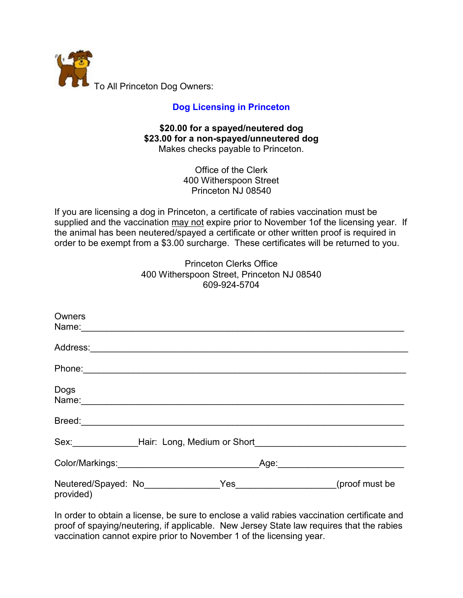

## **[Dog Licensing in Princeton](http://www.princetonnj.gov/ordinances/2015/2015-44.pdf)**

## **\$20.00 for a spayed/neutered dog \$23.00 for a non-spayed/unneutered dog** Makes checks payable to Princeton.

Office of the Clerk 400 Witherspoon Street Princeton NJ 08540

If you are licensing a dog in Princeton, a certificate of rabies vaccination must be supplied and the vaccination may not expire prior to November 1of the licensing year. If the animal has been neutered/spayed a certificate or other written proof is required in order to be exempt from a \$3.00 surcharge. These certificates will be returned to you.

| <b>Princeton Clerks Office</b>             |  |
|--------------------------------------------|--|
| 400 Witherspoon Street, Princeton NJ 08540 |  |
| 609-924-5704                               |  |

| Owners                                                                                                                                                                                                                         |  |      |                    |
|--------------------------------------------------------------------------------------------------------------------------------------------------------------------------------------------------------------------------------|--|------|--------------------|
|                                                                                                                                                                                                                                |  |      |                    |
| Phone: 2008 Phone: 2008 Phone: 2008 Phone: 2008 Phone: 2008 Phone: 2008 Phone: 2008 Phone: 2008 Phone: 2008 Phone: 2008 Phone: 2008 Phone: 2008 Phone: 2008 Phone: 2008 Phone: 2008 Phone: 2008 Phone: 2008 Phone: 2008 Phone: |  |      |                    |
| Dogs                                                                                                                                                                                                                           |  |      |                    |
|                                                                                                                                                                                                                                |  |      |                    |
| Sex: Mair: Long, Medium or Short                                                                                                                                                                                               |  |      |                    |
|                                                                                                                                                                                                                                |  | Age: |                    |
| Neutered/Spayed: No_______________<br>provided)                                                                                                                                                                                |  |      | Yes (proof must be |

In order to obtain a license, be sure to enclose a valid rabies vaccination certificate and proof of spaying/neutering, if applicable. New Jersey State law requires that the rabies vaccination cannot expire prior to November 1 of the licensing year.